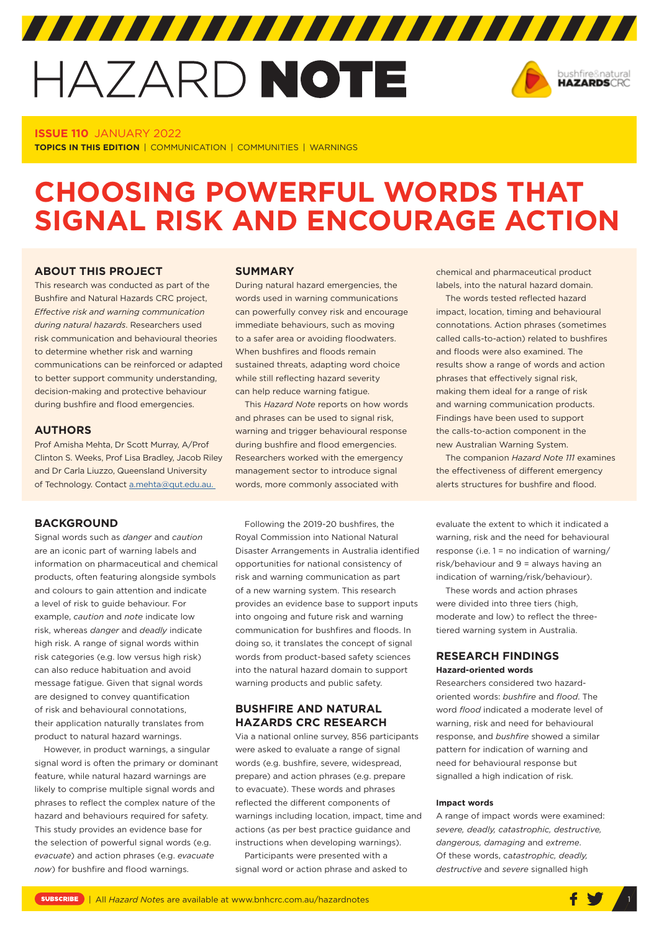# HAZARD NOTE



## **ISSUE 110** JANUARY 2022

**TOPICS IN THIS EDITION** | COMMUNICATION | COMMUNITIES | WARNINGS

# **CHOOSING POWERFUL WORDS THAT SIGNAL RISK AND ENCOURAGE ACTION**

# **ABOUT THIS PROJECT**

This research was conducted as part of the Bushfire and Natural Hazards CRC project, *[Effective risk and warning communication](https://www.bnhcrc.com.au/research/riskcommunication)  [during natural hazards](https://www.bnhcrc.com.au/research/riskcommunication)*. Researchers used risk communication and behavioural theories to determine whether risk and warning communications can be reinforced or adapted to better support community understanding, decision-making and protective behaviour during bushfire and flood emergencies.

#### **AUTHORS**

Prof Amisha Mehta, Dr Scott Murray, A/Prof Clinton S. Weeks, Prof Lisa Bradley, Jacob Riley and Dr Carla Liuzzo, Queensland University of Technology. Contact [a.mehta@qut.edu.au.](mailto:a.mehta@qut.edu.au)

#### **BACKGROUND**

Signal words such as *danger* and *caution* are an iconic part of warning labels and information on pharmaceutical and chemical products, often featuring alongside symbols and colours to gain attention and indicate a level of risk to guide behaviour. For example, *caution* and *note* indicate low risk, whereas *danger* and *deadly* indicate high risk. A range of signal words within risk categories (e.g. low versus high risk) can also reduce habituation and avoid message fatigue. Given that signal words are designed to convey quantification of risk and behavioural connotations, their application naturally translates from product to natural hazard warnings.

However, in product warnings, a singular signal word is often the primary or dominant feature, while natural hazard warnings are likely to comprise multiple signal words and phrases to reflect the complex nature of the hazard and behaviours required for safety. This study provides an evidence base for the selection of powerful signal words (e.g. *evacuate*) and action phrases (e.g. *evacuate now*) for bushfire and flood warnings.

#### **SUMMARY**

During natural hazard emergencies, the words used in warning communications can powerfully convey risk and encourage immediate behaviours, such as moving to a safer area or avoiding floodwaters. When bushfires and floods remain sustained threats, adapting word choice while still reflecting hazard severity can help reduce warning fatigue.

This *Hazard Note* reports on how words and phrases can be used to signal risk, warning and trigger behavioural response during bushfire and flood emergencies. Researchers worked with the emergency management sector to introduce signal words, more commonly associated with

Following the 2019-20 bushfires, the Royal Commission into National Natural Disaster Arrangements in Australia identified opportunities for national consistency of risk and warning communication as part of a new warning system. This research provides an evidence base to support inputs into ongoing and future risk and warning communication for bushfires and floods. In doing so, it translates the concept of signal words from product-based safety sciences into the natural hazard domain to support warning products and public safety.

# **BUSHFIRE AND NATURAL HAZARDS CRC RESEARCH**

Via a national online survey, 856 participants were asked to evaluate a range of signal words (e.g. bushfire, severe, widespread, prepare) and action phrases (e.g. prepare to evacuate). These words and phrases reflected the different components of warnings including location, impact, time and actions (as per best practice guidance and instructions when developing warnings).

Participants were presented with a signal word or action phrase and asked to chemical and pharmaceutical product labels, into the natural hazard domain.

The words tested reflected hazard impact, location, timing and behavioural connotations. Action phrases (sometimes called calls-to-action) related to bushfires and floods were also examined. The results show a range of words and action phrases that effectively signal risk, making them ideal for a range of risk and warning communication products. Findings have been used to support the calls-to-action component in the new Australian Warning System.

The companion *Hazard Note 111* examines the effectiveness of different emergency alerts structures for bushfire and flood.

evaluate the extent to which it indicated a warning, risk and the need for behavioural response (i.e. 1 = no indication of warning/ risk/behaviour and 9 = always having an indication of warning/risk/behaviour).

These words and action phrases were divided into three tiers (high, moderate and low) to reflect the threetiered warning system in Australia.

## **RESEARCH FINDINGS Hazard-oriented words**

Researchers considered two hazardoriented words: *bushfire* and *flood*. The word *flood* indicated a moderate level of warning, risk and need for behavioural response, and *bushfire* showed a similar pattern for indication of warning and need for behavioural response but signalled a high indication of risk.

#### **Impact words**

A range of impact words were examined: *severe, deadly, catastrophic, destructive, dangerous, damaging* and *extreme*. Of these words, ca*tastrophic, deadly, destructive* and *severe* signalled high